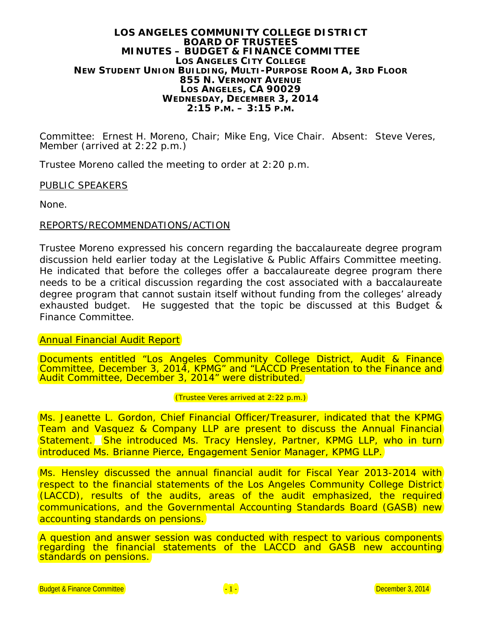#### **LOS ANGELES COMMUNITY COLLEGE DISTRICT BOARD OF TRUSTEES MINUTES – BUDGET & FINANCE COMMITTEE LOS ANGELES CITY COLLEGE NEW STUDENT UNION BUILDING, MULTI-PURPOSE ROOM A, 3RD FLOOR 855 N. VERMONT AVENUE LOS ANGELES, CA 90029 WEDNESDAY, DECEMBER 3, 2014 2:15 P.M. – 3:15 P.M.**

Committee: Ernest H. Moreno, Chair; Mike Eng, Vice Chair. Absent: Steve Veres, Member (arrived at 2:22 p.m.)

Trustee Moreno called the meeting to order at 2:20 p.m.

### PUBLIC SPEAKERS

None.

### REPORTS/RECOMMENDATIONS/ACTION

Trustee Moreno expressed his concern regarding the baccalaureate degree program discussion held earlier today at the Legislative & Public Affairs Committee meeting. He indicated that before the colleges offer a baccalaureate degree program there needs to be a critical discussion regarding the cost associated with a baccalaureate degree program that cannot sustain itself without funding from the colleges' already exhausted budget. He suggested that the topic be discussed at this Budget & Finance Committee.

Annual Financial Audit Report

Documents entitled "Los Angeles Community College District, Audit & Finance Committee, December 3, 2014, KPMG" and "LACCD Presentation to the Finance and Audit Committee, December 3, 2014" were distributed.

#### (Trustee Veres arrived at 2:22 p.m.)

Ms. Jeanette L. Gordon, Chief Financial Officer/Treasurer, indicated that the KPMG Team and Vasquez & Company LLP are present to discuss the Annual Financial Statement. She introduced Ms. Tracy Hensley, Partner, KPMG LLP, who in turn introduced Ms. Brianne Pierce, Engagement Senior Manager, KPMG LLP.

Ms. Hensley discussed the annual financial audit for Fiscal Year 2013-2014 with respect to the financial statements of the Los Angeles Community College District (LACCD), results of the audits, areas of the audit emphasized, the required communications, and the Governmental Accounting Standards Board (GASB) new accounting standards on pensions.

A question and answer session was conducted with respect to various components regarding the financial statements of the LACCD and GASB new accounting standards on pensions.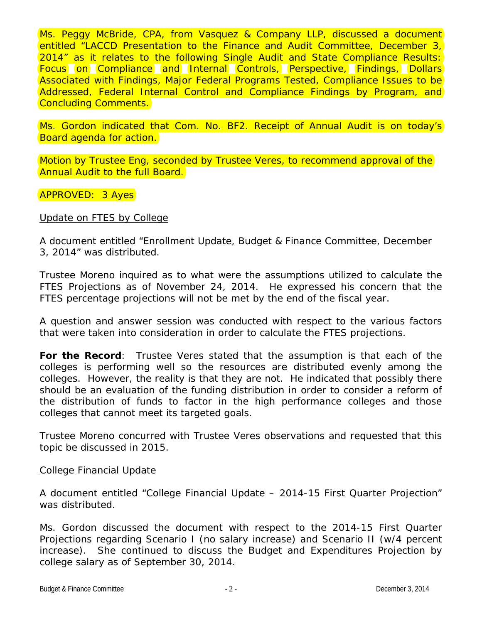Ms. Peggy McBride, CPA, from Vasquez & Company LLP, discussed a document entitled "LACCD Presentation to the Finance and Audit Committee, December 3, 2014" as it relates to the following Single Audit and State Compliance Results: Focus on Compliance and Internal Controls, Perspective, Findings, Dollars Associated with Findings, Major Federal Programs Tested, Compliance Issues to be Addressed, Federal Internal Control and Compliance Findings by Program, and Concluding Comments.

Ms. Gordon indicated that Com. No. BF2. Receipt of Annual Audit is on today's Board agenda for action.

Motion by Trustee Eng, seconded by Trustee Veres, to recommend approval of the Annual Audit to the full Board.

# *APPROVED: 3 Ayes*

### Update on FTES by College

A document entitled "Enrollment Update, Budget & Finance Committee, December 3, 2014" was distributed.

Trustee Moreno inquired as to what were the assumptions utilized to calculate the FTES Projections as of November 24, 2014. He expressed his concern that the FTES percentage projections will not be met by the end of the fiscal year.

A question and answer session was conducted with respect to the various factors that were taken into consideration in order to calculate the FTES projections.

**For the Record**: Trustee Veres stated that the assumption is that each of the colleges is performing well so the resources are distributed evenly among the colleges. However, the reality is that they are not. He indicated that possibly there should be an evaluation of the funding distribution in order to consider a reform of the distribution of funds to factor in the high performance colleges and those colleges that cannot meet its targeted goals.

Trustee Moreno concurred with Trustee Veres observations and requested that this topic be discussed in 2015.

### College Financial Update

A document entitled "College Financial Update – 2014-15 First Quarter Projection" was distributed.

Ms. Gordon discussed the document with respect to the 2014-15 First Quarter Projections regarding Scenario I (no salary increase) and Scenario II (w/4 percent increase). She continued to discuss the Budget and Expenditures Projection by college salary as of September 30, 2014.